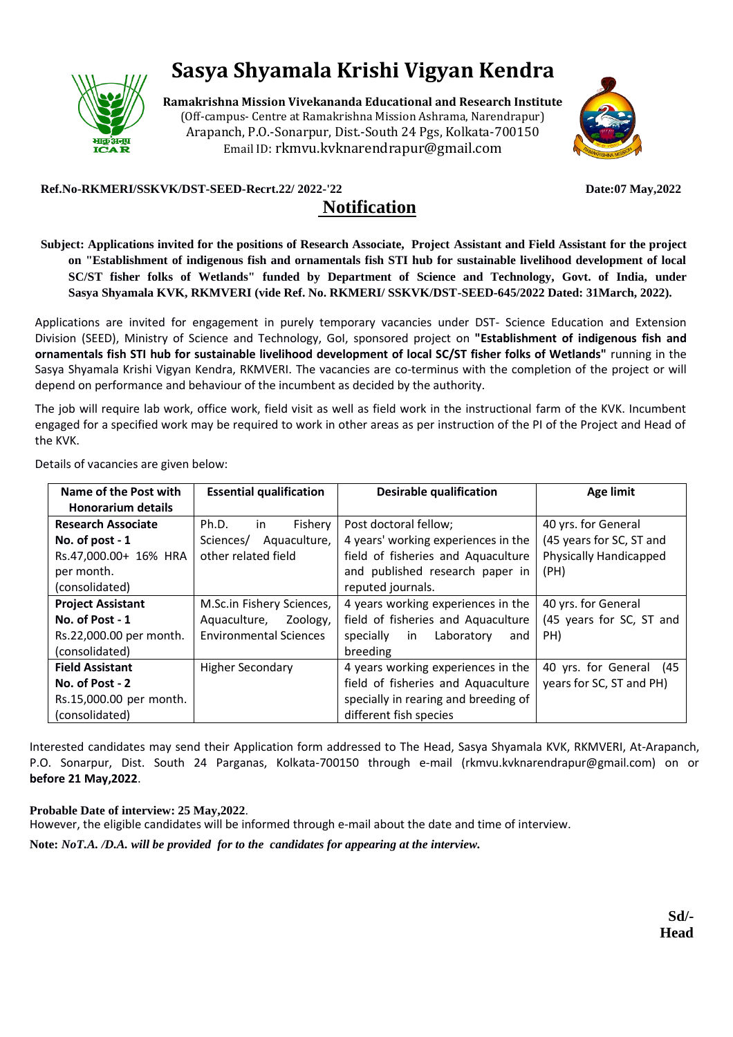

# **Sasya Shyamala Krishi Vigyan Kendra**

**Ramakrishna Mission Vivekananda Educational and Research Institute** (Off-campus- Centre at Ramakrishna Mission Ashrama, Narendrapur) Arapanch, P.O.-Sonarpur, Dist.-South 24 Pgs, Kolkata-700150 Email ID: rkmvu.kvknarendrapur@gmail.com



#### **Ref.No-RKMERI/SSKVK/DST-SEED-Recrt.22/ 2022-'22 Date:07 May,2022**

# **Notification**

**Subject: Applications invited for the positions of Research Associate, Project Assistant and Field Assistant for the project on "Establishment of indigenous fish and ornamentals fish STI hub for sustainable livelihood development of local SC/ST fisher folks of Wetlands" funded by Department of Science and Technology, Govt. of India, under Sasya Shyamala KVK, RKMVERI (vide Ref. No. RKMERI/ SSKVK/DST-SEED-645/2022 Dated: 31March, 2022).**

Applications are invited for engagement in purely temporary vacancies under DST- Science Education and Extension Division (SEED), Ministry of Science and Technology, GoI, sponsored project on **"Establishment of indigenous fish and ornamentals fish STI hub for sustainable livelihood development of local SC/ST fisher folks of Wetlands"** running in the Sasya Shyamala Krishi Vigyan Kendra, RKMVERI. The vacancies are co-terminus with the completion of the project or will depend on performance and behaviour of the incumbent as decided by the authority.

The job will require lab work, office work, field visit as well as field work in the instructional farm of the KVK. Incumbent engaged for a specified work may be required to work in other areas as per instruction of the PI of the Project and Head of the KVK.

Details of vacancies are given below:

| Name of the Post with                                 | <b>Essential qualification</b> | <b>Desirable qualification</b>       | Age limit                  |  |
|-------------------------------------------------------|--------------------------------|--------------------------------------|----------------------------|--|
| <b>Honorarium details</b>                             |                                |                                      |                            |  |
| <b>Research Associate</b>                             | Ph.D.<br>in<br>Fishery         | Post doctoral fellow;                | 40 yrs. for General        |  |
| No. of post - 1                                       | Aquaculture,<br>Sciences/      | 4 years' working experiences in the  | (45 years for SC, ST and   |  |
| Rs.47,000.00+ 16% HRA                                 | other related field            | field of fisheries and Aquaculture   | Physically Handicapped     |  |
| per month.                                            |                                | and published research paper in      | (PH)                       |  |
| (consolidated)                                        |                                | reputed journals.                    |                            |  |
| <b>Project Assistant</b><br>M.Sc.in Fishery Sciences, |                                | 4 years working experiences in the   | 40 yrs. for General        |  |
| No. of Post - 1                                       | Aquaculture, Zoology,          | field of fisheries and Aquaculture   | (45 years for SC, ST and   |  |
| Rs.22,000.00 per month.                               | <b>Environmental Sciences</b>  | Laboratory<br>specially<br>in<br>and | PH)                        |  |
| (consolidated)                                        |                                | breeding                             |                            |  |
| <b>Field Assistant</b>                                | <b>Higher Secondary</b>        | 4 years working experiences in the   | 40 yrs. for General<br>(45 |  |
| No. of Post - 2                                       |                                | field of fisheries and Aquaculture   | years for SC, ST and PH)   |  |
| Rs.15,000.00 per month.                               |                                | specially in rearing and breeding of |                            |  |
| (consolidated)                                        |                                | different fish species               |                            |  |

Interested candidates may send their Application form addressed to The Head, Sasya Shyamala KVK, RKMVERI, At-Arapanch, P.O. Sonarpur, Dist. South 24 Parganas, Kolkata-700150 through e-mail (rkmvu.kvknarendrapur@gmail.com) on or **before 21 May,2022**.

#### **Probable Date of interview: 25 May,2022**.

However, the eligible candidates will be informed through e-mail about the date and time of interview.

**Note:** *NoT.A. /D.A. will be provided for to the candidates for appearing at the interview.*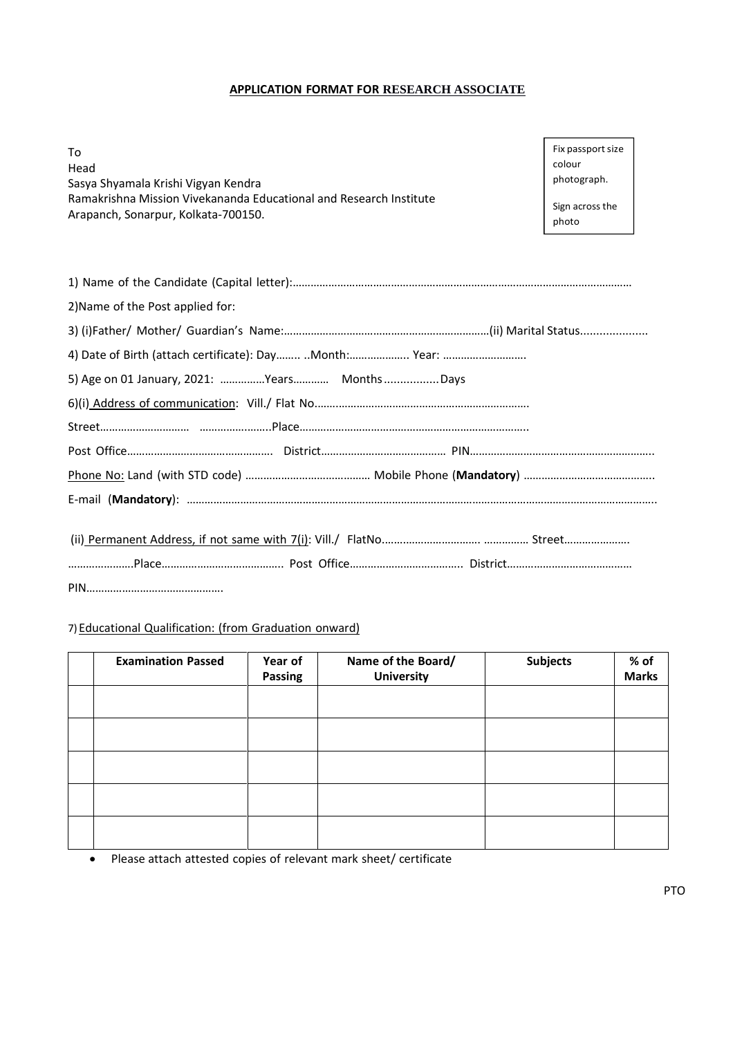#### **APPLICATION FORMAT FOR RESEARCH ASSOCIATE**

To Head Sasya Shyamala Krishi Vigyan Kendra Ramakrishna Mission Vivekananda Educational and Research Institute Arapanch, Sonarpur, Kolkata-700150.

Fix passport size colour photograph.

Sign across the photo

| 2) Name of the Post applied for:             |
|----------------------------------------------|
|                                              |
|                                              |
| 5) Age on 01 January, 2021: Years MonthsDays |
|                                              |
|                                              |
|                                              |
|                                              |
|                                              |
|                                              |
|                                              |

# 7) Educational Qualification: (from Graduation onward)

| <b>Examination Passed</b> | Year of<br>Passing | Name of the Board/<br><b>University</b> | <b>Subjects</b> | $%$ of<br><b>Marks</b> |
|---------------------------|--------------------|-----------------------------------------|-----------------|------------------------|
|                           |                    |                                         |                 |                        |
|                           |                    |                                         |                 |                        |
|                           |                    |                                         |                 |                        |
|                           |                    |                                         |                 |                        |
|                           |                    |                                         |                 |                        |

• Please attach attested copies of relevant mark sheet/ certificate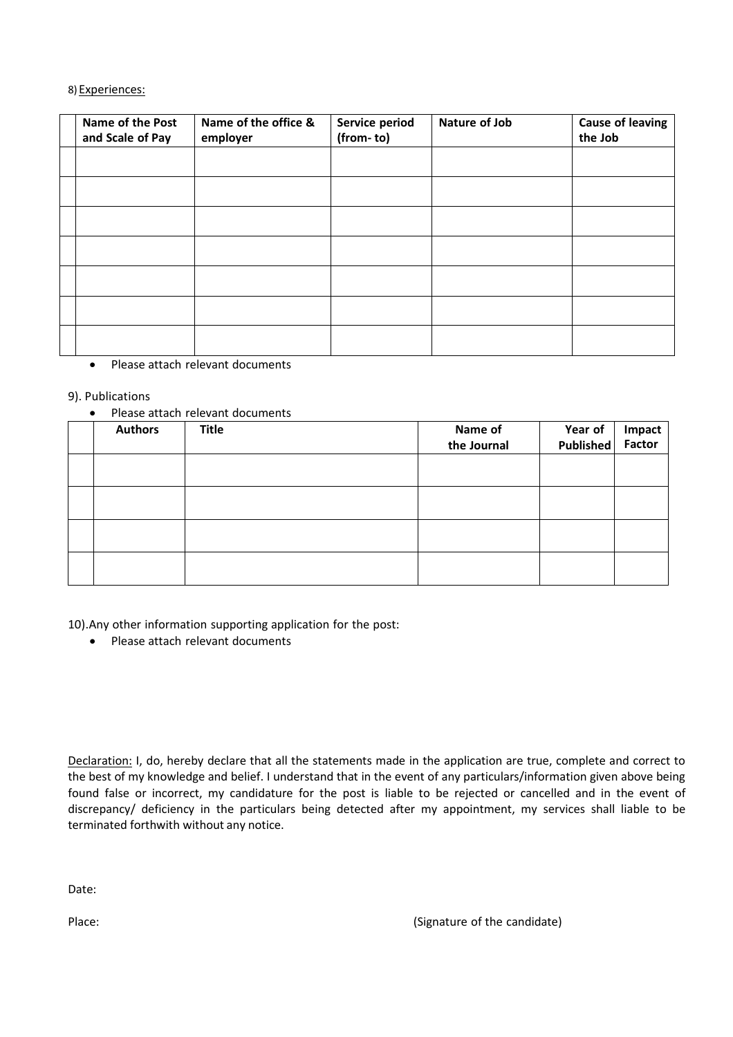#### 8) Experiences:

| Name of the Post<br>and Scale of Pay | Name of the office &<br>employer | Service period<br>(from-to) | Nature of Job | <b>Cause of leaving</b><br>the Job |
|--------------------------------------|----------------------------------|-----------------------------|---------------|------------------------------------|
|                                      |                                  |                             |               |                                    |
|                                      |                                  |                             |               |                                    |
|                                      |                                  |                             |               |                                    |
|                                      |                                  |                             |               |                                    |
|                                      |                                  |                             |               |                                    |
|                                      |                                  |                             |               |                                    |
|                                      |                                  |                             |               |                                    |

• Please attach relevant documents

## 9). Publications

#### • Please attach relevant documents

| <b>Authors</b> | <b>Title</b> | Name of<br>the Journal | Year of<br>Published | <b>Impact</b><br>Factor |
|----------------|--------------|------------------------|----------------------|-------------------------|
|                |              |                        |                      |                         |
|                |              |                        |                      |                         |
|                |              |                        |                      |                         |
|                |              |                        |                      |                         |

10).Any other information supporting application for the post:

• Please attach relevant documents

Declaration: I, do, hereby declare that all the statements made in the application are true, complete and correct to the best of my knowledge and belief. I understand that in the event of any particulars/information given above being found false or incorrect, my candidature for the post is liable to be rejected or cancelled and in the event of discrepancy/ deficiency in the particulars being detected after my appointment, my services shall liable to be terminated forthwith without any notice.

Date:

Place: (Signature of the candidate)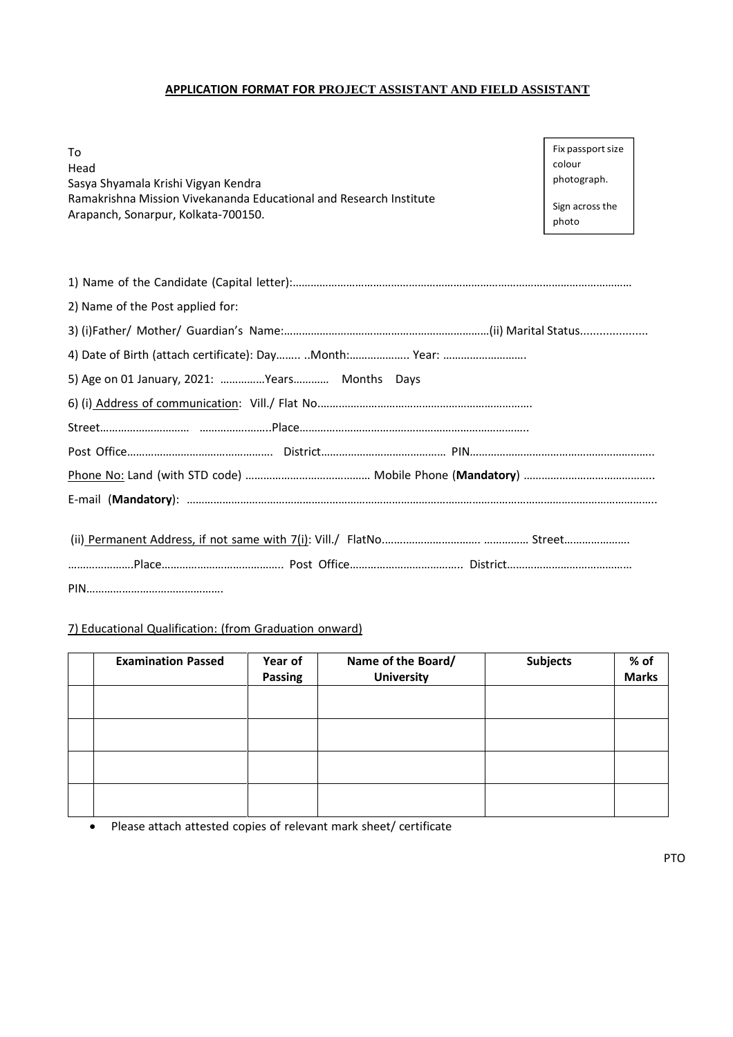# **APPLICATION FORMAT FOR PROJECT ASSISTANT AND FIELD ASSISTANT**

To Head Sasya Shyamala Krishi Vigyan Kendra Ramakrishna Mission Vivekananda Educational and Research Institute Arapanch, Sonarpur, Kolkata-700150.

Fix passport size colour photograph.

Sign across the photo

| 2) Name of the Post applied for:              |
|-----------------------------------------------|
|                                               |
|                                               |
| 5) Age on 01 January, 2021: Years Months Days |
|                                               |
|                                               |
|                                               |
|                                               |
|                                               |
|                                               |
|                                               |

# 7) Educational Qualification: (from Graduation onward)

| <b>Examination Passed</b> | Year of<br>Passing | Name of the Board/<br><b>University</b> | <b>Subjects</b> | % of<br><b>Marks</b> |
|---------------------------|--------------------|-----------------------------------------|-----------------|----------------------|
|                           |                    |                                         |                 |                      |
|                           |                    |                                         |                 |                      |
|                           |                    |                                         |                 |                      |
|                           |                    |                                         |                 |                      |

• Please attach attested copies of relevant mark sheet/ certificate